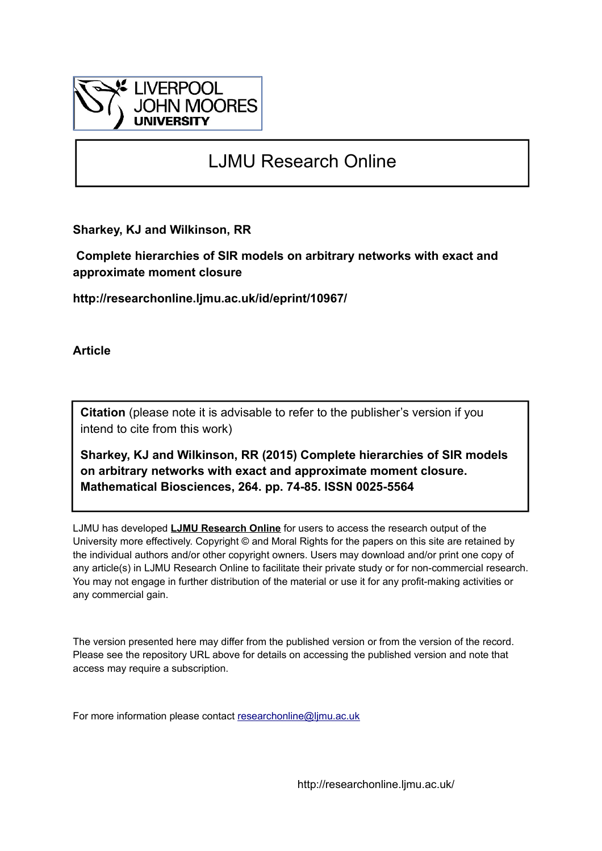

# LJMU Research Online

**Sharkey, KJ and Wilkinson, RR**

 **Complete hierarchies of SIR models on arbitrary networks with exact and approximate moment closure**

**http://researchonline.ljmu.ac.uk/id/eprint/10967/**

**Article**

**Citation** (please note it is advisable to refer to the publisher's version if you intend to cite from this work)

**Sharkey, KJ and Wilkinson, RR (2015) Complete hierarchies of SIR models on arbitrary networks with exact and approximate moment closure. Mathematical Biosciences, 264. pp. 74-85. ISSN 0025-5564** 

LJMU has developed **[LJMU Research Online](http://researchonline.ljmu.ac.uk/)** for users to access the research output of the University more effectively. Copyright © and Moral Rights for the papers on this site are retained by the individual authors and/or other copyright owners. Users may download and/or print one copy of any article(s) in LJMU Research Online to facilitate their private study or for non-commercial research. You may not engage in further distribution of the material or use it for any profit-making activities or any commercial gain.

The version presented here may differ from the published version or from the version of the record. Please see the repository URL above for details on accessing the published version and note that access may require a subscription.

For more information please contact [researchonline@ljmu.ac.uk](mailto:researchonline@ljmu.ac.uk)

http://researchonline.ljmu.ac.uk/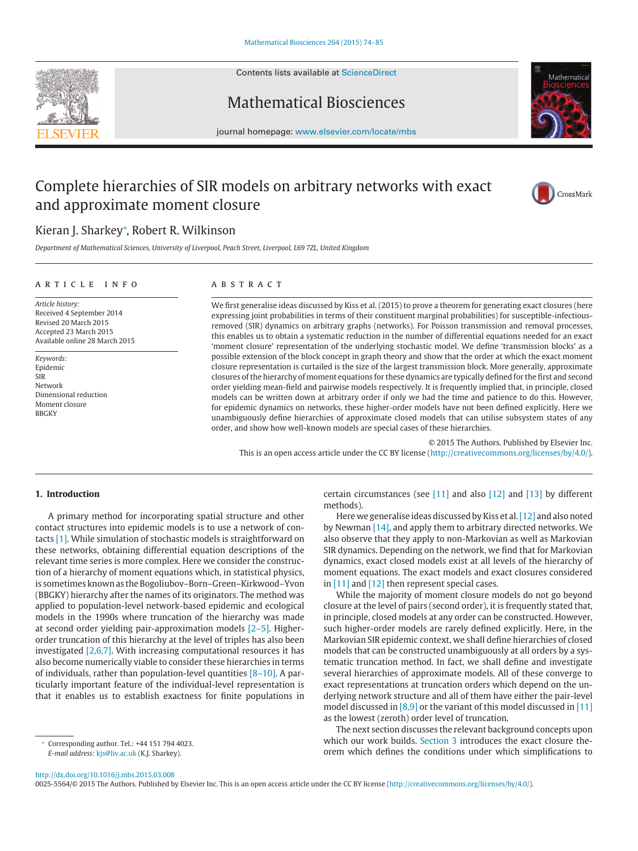Contents lists available at [ScienceDirect](http://www.ScienceDirect.com)







journal homepage: [www.elsevier.com/locate/mbs](http://www.elsevier.com/locate/mbs)

# Complete hierarchies of SIR models on arbitrary networks with exact and approximate moment closure



# Kieran J. Sharkey<sup>∗</sup> , Robert R. Wilkinson

*Department of Mathematical Sciences, University of Liverpool, Peach Street, Liverpool, L69 7ZL, United Kingdom*

#### article info

*Article history:* Received 4 September 2014 Revised 20 March 2015 Accepted 23 March 2015 Available online 28 March 2015

*Keywords:* Epidemic SIR Network Dimensional reduction Moment closure BBGKY

### **ABSTRACT**

We first generalise ideas discussed by Kiss et al. (2015) to prove a theorem for generating exact closures (here expressing joint probabilities in terms of their constituent marginal probabilities) for susceptible-infectiousremoved (SIR) dynamics on arbitrary graphs (networks). For Poisson transmission and removal processes, this enables us to obtain a systematic reduction in the number of differential equations needed for an exact 'moment closure' representation of the underlying stochastic model. We define 'transmission blocks' as a possible extension of the block concept in graph theory and show that the order at which the exact moment closure representation is curtailed is the size of the largest transmission block. More generally, approximate closures of the hierarchy of moment equations for these dynamics are typically defined for the first and second order yielding mean-field and pairwise models respectively. It is frequently implied that, in principle, closed models can be written down at arbitrary order if only we had the time and patience to do this. However, for epidemic dynamics on networks, these higher-order models have not been defined explicitly. Here we unambiguously define hierarchies of approximate closed models that can utilise subsystem states of any order, and show how well-known models are special cases of these hierarchies.

© 2015 The Authors. Published by Elsevier Inc. This is an open access article under the CC BY license [\(http://creativecommons.org/licenses/by/4.0/\)](http://creativecommons.org/licenses/by/4.0/).

# **1. Introduction**

A primary method for incorporating spatial structure and other contact structures into epidemic models is to use a network of contacts [\[1\].](#page-12-0) While simulation of stochastic models is straightforward on these networks, obtaining differential equation descriptions of the relevant time series is more complex. Here we consider the construction of a hierarchy of moment equations which, in statistical physics, is sometimes known as the Bogoliubov–Born–Green–Kirkwood–Yvon (BBGKY) hierarchy after the names of its originators. The method was applied to population-level network-based epidemic and ecological models in the 1990s where truncation of the hierarchy was made at second order yielding pair-approximation models [\[2–5\].](#page-12-0) Higherorder truncation of this hierarchy at the level of triples has also been investigated [\[2,6,7\].](#page-12-0) With increasing computational resources it has also become numerically viable to consider these hierarchies in terms of individuals, rather than population-level quantities  $[8-10]$ . A particularly important feature of the individual-level representation is that it enables us to establish exactness for finite populations in

*E-mail address:* [kjs@liv.ac.uk](mailto:kjs@liv.ac.uk) (K.J. Sharkey).

certain circumstances (see [\[11\]](#page-12-0) and also [\[12\]](#page-12-0) and [\[13\]](#page-12-0) by different methods).

Here we generalise ideas discussed by Kiss et al. [\[12\]](#page-12-0) and also noted by Newman [\[14\],](#page-12-0) and apply them to arbitrary directed networks. We also observe that they apply to non-Markovian as well as Markovian SIR dynamics. Depending on the network, we find that for Markovian dynamics, exact closed models exist at all levels of the hierarchy of moment equations. The exact models and exact closures considered in [\[11\]](#page-12-0) and [\[12\]](#page-12-0) then represent special cases.

While the majority of moment closure models do not go beyond closure at the level of pairs (second order), it is frequently stated that, in principle, closed models at any order can be constructed. However, such higher-order models are rarely defined explicitly. Here, in the Markovian SIR epidemic context, we shall define hierarchies of closed models that can be constructed unambiguously at all orders by a systematic truncation method. In fact, we shall define and investigate several hierarchies of approximate models. All of these converge to exact representations at truncation orders which depend on the underlying network structure and all of them have either the pair-level model discussed in [\[8,9\]](#page-12-0) or the variant of this model discussed in [\[11\]](#page-12-0) as the lowest (zeroth) order level of truncation.

The next section discusses the relevant background concepts upon which our work builds. [Section 3](#page-3-0) introduces the exact closure theorem which defines the conditions under which simplifications to

0025-5564/© 2015 The Authors. Published by Elsevier Inc. This is an open access article under the CC BY license [\(http://creativecommons.org/licenses/by/4.0/\)](http://creativecommons.org/licenses/by/4.0/).

<sup>∗</sup> Corresponding author. Tel.: +44 151 794 4023.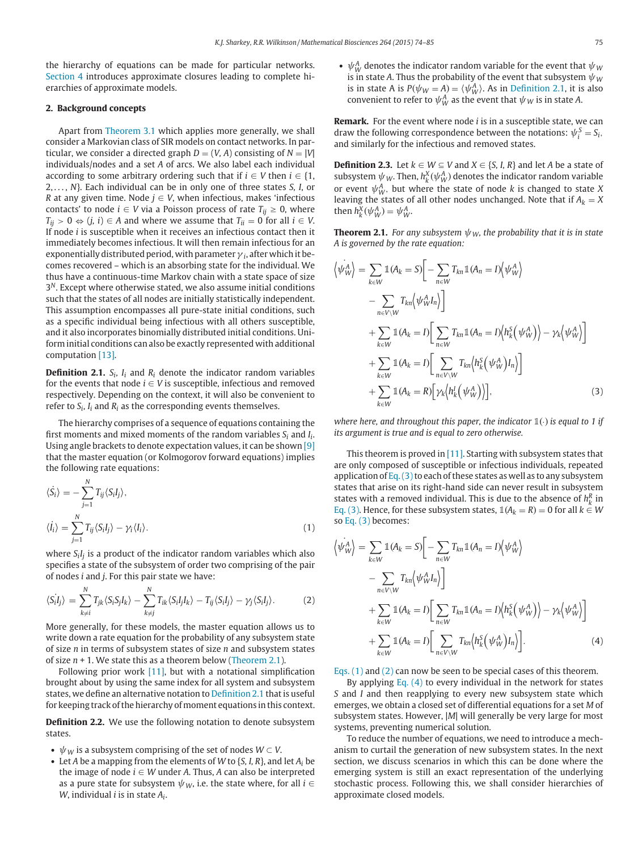<span id="page-2-0"></span>the hierarchy of equations can be made for particular networks. [Section 4](#page-6-0) introduces approximate closures leading to complete hierarchies of approximate models.

# **2. Background concepts**

Apart from [Theorem 3.1](#page-3-0) which applies more generally, we shall consider a Markovian class of SIR models on contact networks. In particular, we consider a directed graph  $D = (V, A)$  consisting of  $N = |V|$ individuals/nodes and a set *A* of arcs. We also label each individual according to some arbitrary ordering such that if  $i \in V$  then  $i \in \{1,$ 2, . . . , *N*}. Each individual can be in only one of three states *S, I*, or *R* at any given time. Node  $j \in V$ , when infectious, makes 'infectious contacts' to node  $i \in V$  via a Poisson process of rate  $T_{ij} \geq 0,$  where  $T_{ij} > 0 \Leftrightarrow (j, i) \in A$  and where we assume that  $T_{ii} = 0$  for all  $i \in V$ . If node *i* is susceptible when it receives an infectious contact then it immediately becomes infectious. It will then remain infectious for an exponentially distributed period, with parameter  $\gamma_i$ , after which it becomes recovered – which is an absorbing state for the individual. We thus have a continuous-time Markov chain with a state space of size 3*N*. Except where otherwise stated, we also assume initial conditions such that the states of all nodes are initially statistically independent. This assumption encompasses all pure-state initial conditions, such as a specific individual being infectious with all others susceptible, and it also incorporates binomially distributed initial conditions. Uniform initial conditions can also be exactly represented with additional computation [\[13\].](#page-12-0)

**Definition 2.1.**  $S_i$ ,  $I_i$  and  $R_i$  denote the indicator random variables for the events that node  $i \in V$  is susceptible, infectious and removed respectively. Depending on the context, it will also be convenient to refer to *Si, Ii* and *Ri* as the corresponding events themselves.

The hierarchy comprises of a sequence of equations containing the first moments and mixed moments of the random variables *Si* and *Ii*. Using angle brackets to denote expectation values, it can be shown [\[9\]](#page-12-0) that the master equation (or Kolmogorov forward equations) implies the following rate equations:

$$
\langle \dot{S}_i \rangle = -\sum_{j=1}^N T_{ij} \langle S_i I_j \rangle,
$$
  

$$
\langle I_i \rangle = \sum_{j=1}^N T_{ij} \langle S_i I_j \rangle - \gamma_i \langle I_i \rangle.
$$
 (1)

where *S<sub>i</sub>I<sub>i</sub>* is a product of the indicator random variables which also specifies a state of the subsystem of order two comprising of the pair of nodes *i* and *j*. For this pair state we have:

$$
\langle S_i I_j \rangle = \sum_{k \neq i}^N T_{jk} \langle S_i S_j I_k \rangle - \sum_{k \neq j}^N T_{ik} \langle S_i I_j I_k \rangle - T_{ij} \langle S_i I_j \rangle - \gamma_j \langle S_i I_j \rangle. \tag{2}
$$

More generally, for these models, the master equation allows us to write down a rate equation for the probability of any subsystem state of size *n* in terms of subsystem states of size *n* and subsystem states of size *n* + 1. We state this as a theorem below (Theorem 2.1).

Following prior work [\[11\],](#page-12-0) but with a notational simplification brought about by using the same index for all system and subsystem states, we define an alternative notation to Definition 2.1 that is useful for keeping track of the hierarchy of moment equations in this context.

**Definition 2.2.** We use the following notation to denote subsystem states.

- $\psi_W$  is a subsystem comprising of the set of nodes  $W \subset V$ .
- Let *A* be a mapping from the elements of *W* to {*S, I, R*}, and let *Ai* be the image of node  $i \in W$  under A. Thus, A can also be interpreted as a pure state for subsystem  $\psi_W$ , i.e. the state where, for all  $i \in$ *W*, individual *i* is in state *Ai*.

•  $\psi_W^A$  denotes the indicator random variable for the event that  $\psi_W$ is in state *A*. Thus the probability of the event that subsystem  $\psi_W$ is in state A is  $P(\psi_W = A) = \langle \psi_W^A \rangle$ . As in Definition 2.1, it is also convenient to refer to  $\psi_W^A$  as the event that  $\psi_W$  is in state A.

**Remark.** For the event where node *i* is in a susceptible state, we can draw the following correspondence between the notations:  $\psi_i^S = S_i$ , and similarly for the infectious and removed states.

**Definition 2.3.** Let  $k \in W \subseteq V$  and  $X \in \{S, I, R\}$  and let *A* be a state of subsystem  $\psi_W$ . Then,  $h_k^X(\psi_W^A)$  denotes the indicator random variable or event  $\psi_W^A$ , but where the state of node *k* is changed to state *X* leaving the states of all other nodes unchanged. Note that if  $A_k = X$ then  $h_k^X(\psi_W^A) = \psi_W^A$ .

**Theorem 2.1.** *For any subsystem*  $\psi_W$ *, the probability that it is in state A is governed by the rate equation:*

$$
\langle \psi^A_W \rangle = \sum_{k \in W} \mathbb{1}(A_k = S) \Big[ - \sum_{n \in W} T_{kn} \mathbb{1}(A_n = I) \langle \psi^A_W \rangle
$$
  
\n
$$
- \sum_{n \in V \setminus W} T_{kn} \langle \psi^A_W I_n \rangle \Big]
$$
  
\n
$$
+ \sum_{k \in W} \mathbb{1}(A_k = I) \Big[ \sum_{n \in W} T_{kn} \mathbb{1}(A_n = I) \langle h^S_k (\psi^A_W) \rangle - \gamma_k \langle \psi^A_W \rangle \Big]
$$
  
\n
$$
+ \sum_{k \in W} \mathbb{1}(A_k = I) \Big[ \sum_{n \in V \setminus W} T_{kn} \langle h^S_k (\psi^A_W) I_n \rangle \Big]
$$
  
\n
$$
+ \sum_{k \in W} \mathbb{1}(A_k = R) \Big[ \gamma_k \langle h^I_k (\psi^A_W) \rangle \Big], \tag{3}
$$

*where here, and throughout this paper, the indicator*  $\mathbb{1}(\cdot)$  *is equal to 1 if its argument is true and is equal to zero otherwise.*

This theorem is proved in  $[11]$ . Starting with subsystem states that are only composed of susceptible or infectious individuals, repeated application of Eq.  $(3)$  to each of these states as well as to any subsystem states that arise on its right-hand side can never result in subsystem states with a removed individual. This is due to the absence of  $h_k^R$  in Eq. (3). Hence, for these subsystem states,  $\mathbb{1}(A_k = R) = 0$  for all  $k \in W$ so Eq. (3) becomes:

$$
\langle \psi_W^A \rangle = \sum_{k \in W} \mathbb{1}(A_k = S) \Big[ - \sum_{n \in W} T_{kn} \mathbb{1}(A_n = I) \langle \psi_W^A \rangle
$$
  

$$
- \sum_{n \in V \setminus W} T_{kn} \langle \psi_W^A I_n \rangle \Big]
$$
  

$$
+ \sum_{k \in W} \mathbb{1}(A_k = I) \Big[ \sum_{n \in W} T_{kn} \mathbb{1}(A_n = I) \Big\langle h_k^S(\psi_W^A) \Big\rangle - \gamma_k \Big\langle \psi_W^A \Big\rangle \Big]
$$
  

$$
+ \sum_{k \in W} \mathbb{1}(A_k = I) \Big[ \sum_{n \in V \setminus W} T_{kn} \Big\langle h_k^S(\psi_W^A) I_n \Big\rangle \Big]. \tag{4}
$$

Eqs. (1) and (2) can now be seen to be special cases of this theorem.

By applying Eq.  $(4)$  to every individual in the network for states *S* and *I* and then reapplying to every new subsystem state which emerges, we obtain a closed set of differential equations for a set *M* of subsystem states. However, |*M*| will generally be very large for most systems, preventing numerical solution.

To reduce the number of equations, we need to introduce a mechanism to curtail the generation of new subsystem states. In the next section, we discuss scenarios in which this can be done where the emerging system is still an exact representation of the underlying stochastic process. Following this, we shall consider hierarchies of approximate closed models.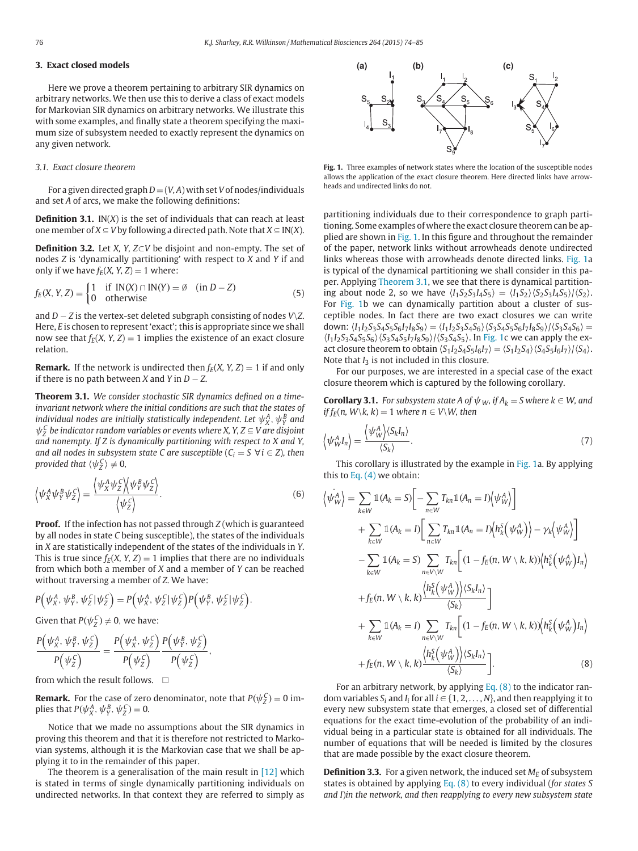# <span id="page-3-0"></span>**3. Exact closed models**

Here we prove a theorem pertaining to arbitrary SIR dynamics on arbitrary networks. We then use this to derive a class of exact models for Markovian SIR dynamics on arbitrary networks. We illustrate this with some examples, and finally state a theorem specifying the maximum size of subsystem needed to exactly represent the dynamics on any given network.

# *3.1. Exact closure theorem*

For a given directed graph  $D = (V, A)$  with set *V* of nodes/individuals and set *A* of arcs, we make the following definitions:

**Definition 3.1.** IN(*X*) is the set of individuals that can reach at least one member of  $X \subseteq V$  by following a directed path. Note that  $X \subseteq IN(X)$ .

**Definition 3.2.** Let *X*, *Y*, *Z*⊂*V* be disjoint and non-empty. The set of nodes *Z* is 'dynamically partitioning' with respect to *X* and *Y* if and only if we have  $f_E(X, Y, Z) = 1$  where:

$$
f_E(X, Y, Z) = \begin{cases} 1 & \text{if } IN(X) \cap IN(Y) = \emptyset & \text{(in } D - Z) \\ 0 & \text{otherwise} \end{cases}
$$
(5)

and *D* − *Z* is the vertex-set deleted subgraph consisting of nodes *VZ*. Here, *E* is chosen to represent 'exact'; this is appropriate since we shall now see that  $f_E(X, Y, Z) = 1$  implies the existence of an exact closure relation.

**Remark.** If the network is undirected then  $f_E(X, Y, Z) = 1$  if and only if there is no path between *X* and *Y* in *D* − *Z*.

**Theorem 3.1.** *We consider stochastic SIR dynamics defined on a timeinvariant network where the initial conditions are such that the states of individual nodes are initially statistically independent. Let*  $\psi_{\text{X}}^A, \psi_{\text{Y}}^B$  *and*  $\psi_Z^C$  *be indicator random variables or events where X, Y, Z*  $\subseteq$  *V are disjoint and nonempty. If Z is dynamically partitioning with respect to X and Y, and all nodes in subsystem state C are susceptible* ( $C_i = S \ \forall i \in \mathbb{Z}$ ), then *provided that*  $\langle \psi_{Z}^{C} \rangle \neq 0$ ,

$$
\left\langle \psi_X^A \psi_Y^B \psi_Z^C \right\rangle = \frac{\left\langle \psi_X^A \psi_Z^C \right\rangle \left\langle \psi_Y^B \psi_Z^C \right\rangle}{\left\langle \psi_Z^C \right\rangle}.
$$
\n(6)

**Proof.** If the infection has not passed through *Z* (which is guaranteed by all nodes in state *C* being susceptible), the states of the individuals in *X* are statistically independent of the states of the individuals in *Y*. This is true since  $f_F(X, Y, Z) = 1$  implies that there are no individuals from which both a member of *X* and a member of *Y* can be reached without traversing a member of *Z*. We have:

$$
P(\psi_X^A, \psi_Y^B, \psi_Z^C | \psi_Z^C) = P(\psi_X^A, \psi_Z^C | \psi_Z^C) P(\psi_Y^B, \psi_Z^C | \psi_Z^C).
$$

Given that  $P(\psi_Z^C) \neq 0$ , we have:

$$
\frac{P(\psi_X^A, \psi_Y^B, \psi_Z^C)}{P(\psi_Z^C)} = \frac{P(\psi_X^A, \psi_Z^C)}{P(\psi_Z^C)} \frac{P(\psi_Y^B, \psi_Z^C)}{P(\psi_Z^C)},
$$

from which the result follows.  $\Box$ 

**Remark.** For the case of zero denominator, note that  $P(\psi_Z^C) = 0$  implies that  $P(\psi_X^A, \psi_Y^B, \psi_Z^C) = 0$ .

Notice that we made no assumptions about the SIR dynamics in proving this theorem and that it is therefore not restricted to Markovian systems, although it is the Markovian case that we shall be applying it to in the remainder of this paper.

The theorem is a generalisation of the main result in [\[12\]](#page-12-0) which is stated in terms of single dynamically partitioning individuals on undirected networks. In that context they are referred to simply as



**Fig. 1.** Three examples of network states where the location of the susceptible nodes allows the application of the exact closure theorem. Here directed links have arrowheads and undirected links do not.

partitioning individuals due to their correspondence to graph partitioning. Some examples of where the exact closure theorem can be applied are shown in Fig. 1. In this figure and throughout the remainder of the paper, network links without arrowheads denote undirected links whereas those with arrowheads denote directed links. Fig. 1a is typical of the dynamical partitioning we shall consider in this paper. Applying Theorem 3.1, we see that there is dynamical partitioning about node 2, so we have  $\langle I_1 S_2 S_3 I_4 S_5 \rangle = \langle I_1 S_2 \rangle \langle S_2 S_3 I_4 S_5 \rangle / \langle S_2 \rangle$ . For Fig. 1b we can dynamically partition about a cluster of susceptible nodes. In fact there are two exact closures we can write down:  $\langle I_1 I_2 S_3 S_4 S_5 S_6 I_7 I_8 S_9 \rangle = \langle I_1 I_2 S_3 S_4 S_6 \rangle \langle S_3 S_4 S_5 S_6 I_7 I_8 S_9 \rangle / \langle S_3 S_4 S_6 \rangle =$  $\langle I_1 I_2 S_3 S_4 S_5 S_6 \rangle \langle S_3 S_4 S_5 I_7 I_8 S_9 \rangle / \langle S_3 S_4 S_5 \rangle$ . In Fig. 1c we can apply the exact closure theorem to obtain  $\langle S_1I_2S_4S_5I_6I_7 \rangle = \langle S_1I_2S_4 \rangle \langle S_4S_5I_6I_7 \rangle / \langle S_4 \rangle$ . Note that  $I_3$  is not included in this closure.

For our purposes, we are interested in a special case of the exact closure theorem which is captured by the following corollary.

**Corollary 3.1.** *For subsystem state A of*  $\psi$ <sub>*W</sub>*, *if*  $A_k = S$  *where*  $k \in W$ *, and*</sub>  $iff_E(n, W \setminus k, k) = 1$  where  $n \in V \setminus W$ , then

$$
\left\langle \psi_{W}^{A} I_{n} \right\rangle = \frac{\left\langle \psi_{W}^{A} \right\rangle \left\langle S_{k} I_{n} \right\rangle}{\left\langle S_{k} \right\rangle}.
$$
\n(7)

This corollary is illustrated by the example in Fig. 1a. By applying this to Eq.  $(4)$  we obtain:

$$
\langle \psi^A_W \rangle = \sum_{k \in W} \mathbb{1}(A_k = S) \Big[ - \sum_{n \in W} T_{kn} \mathbb{1}(A_n = I) \Big\langle \psi^A_W \Big\rangle \Big] \n+ \sum_{k \in W} \mathbb{1}(A_k = I) \Big[ \sum_{n \in W} T_{kn} \mathbb{1}(A_n = I) \Big\langle h^S_k \Big( \psi^A_W \Big) \Big\rangle - \gamma_k \Big\langle \psi^A_W \Big\rangle \Big] \n- \sum_{k \in W} \mathbb{1}(A_k = S) \sum_{n \in V \setminus W} T_{kn} \Big[ (1 - f_E(n, W \setminus k, k)) \Big\langle h^S_k \Big( \psi^A_W \Big) I_n \Big\rangle \n+ f_E(n, W \setminus k, k) \frac{\Big\langle h^S_k \Big( \psi^A_W \Big) \Big\langle S_k I_n \Big\rangle}{\langle S_k \rangle} \Big]
$$
\n
$$
+ \sum_{k \in W} \mathbb{1}(A_k = I) \sum_{n \in V \setminus W} T_{kn} \Big[ (1 - f_E(n, W \setminus k, k)) \Big\langle h^S_k \Big( \psi^A_W \Big) I_n \Big\rangle \n+ f_E(n, W \setminus k, k) \frac{\Big\langle h^S_k \Big( \psi^A_W \Big) \Big\langle S_k I_n \Big\rangle}{\langle S_k \rangle} \Big].
$$
\n(8)

For an arbitrary network, by applying Eq.  $(8)$  to the indicator random variables  $S_i$  and  $I_i$  for all  $i \in \{1, 2, \ldots, N\}$ , and then reapplying it to every new subsystem state that emerges, a closed set of differential equations for the exact time-evolution of the probability of an individual being in a particular state is obtained for all individuals. The number of equations that will be needed is limited by the closures that are made possible by the exact closure theorem.

**Definition 3.3.** For a given network, the induced set  $M_E$  of subsystem states is obtained by applying Eq. (8) to every individual (*for states S and I*)*in the network, and then reapplying to every new subsystem state*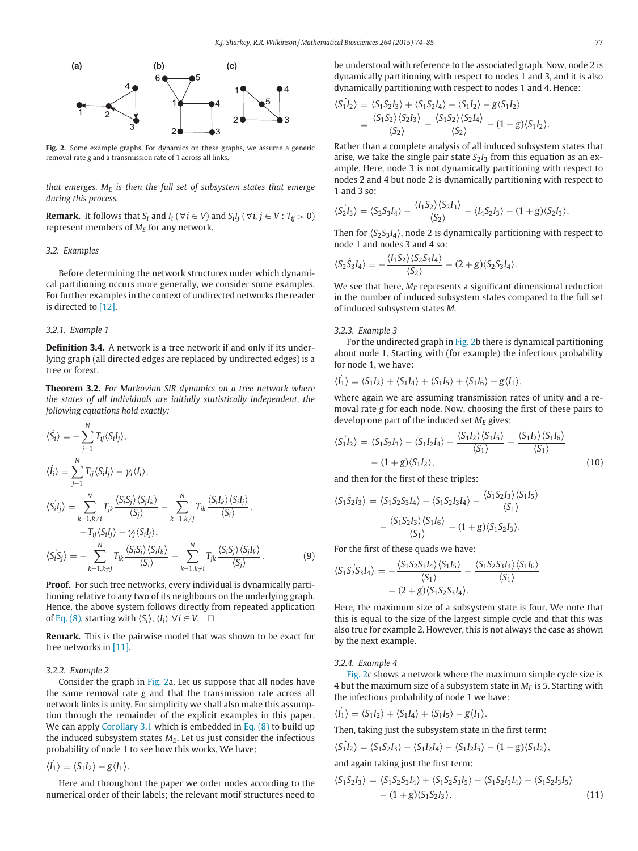<span id="page-4-0"></span>

**Fig. 2.** Some example graphs. For dynamics on these graphs, we assume a generic removal rate *g* and a transmission rate of 1 across all links.

*that emerges.*  $M_E$  *is then the full set of subsystem states that emerge during this process.*

**Remark.** It follows that  $S_i$  and  $I_i$  (  $\forall i \in V$ ) and  $S_iI_j$  (  $\forall i, j \in V : T_{ij} > 0$ ) represent members of  $M_E$  for any network.

#### *3.2. Examples*

Before determining the network structures under which dynamical partitioning occurs more generally, we consider some examples. For further examples in the context of undirected networks the reader is directed to [\[12\].](#page-12-0)

#### *3.2.1. Example 1*

**Definition 3.4.** A network is a tree network if and only if its underlying graph (all directed edges are replaced by undirected edges) is a tree or forest.

**Theorem 3.2.** *For Markovian SIR dynamics on a tree network where the states of all individuals are initially statistically independent, the following equations hold exactly:*

$$
\langle \dot{S}_{i} \rangle = -\sum_{j=1}^{N} T_{ij} \langle S_{i} I_{j} \rangle, \n\langle I_{i} \rangle = \sum_{j=1}^{N} T_{ij} \langle S_{i} I_{j} \rangle - \gamma_{i} \langle I_{i} \rangle, \n\langle S_{i} I_{j} \rangle = \sum_{k=1, k \neq i}^{N} T_{jk} \frac{\langle S_{i} S_{j} \rangle \langle S_{j} I_{k} \rangle}{\langle S_{j} \rangle} - \sum_{k=1, k \neq j}^{N} T_{ik} \frac{\langle S_{i} I_{k} \rangle \langle S_{i} I_{j} \rangle}{\langle S_{i} \rangle}, \n\langle S_{i} S_{j} \rangle = -\sum_{k=1, k \neq j}^{N} T_{ik} \frac{\langle S_{i} S_{j} \rangle \langle S_{i} I_{k} \rangle}{\langle S_{i} \rangle} - \sum_{k=1, k \neq i}^{N} T_{jk} \frac{\langle S_{i} S_{j} \rangle \langle S_{j} I_{k} \rangle}{\langle S_{j} \rangle}.
$$
\n(9)

**Proof.** For such tree networks, every individual is dynamically partitioning relative to any two of its neighbours on the underlying graph. Hence, the above system follows directly from repeated application of [Eq. \(8\),](#page-3-0) starting with  $\langle S_i \rangle$ ,  $\langle I_i \rangle \ \forall i \in V$ .  $\Box$ 

**Remark.** This is the pairwise model that was shown to be exact for tree networks in [\[11\].](#page-12-0)

#### *3.2.2. Example 2*

Consider the graph in Fig. 2a. Let us suppose that all nodes have the same removal rate *g* and that the transmission rate across all network links is unity. For simplicity we shall also make this assumption through the remainder of the explicit examples in this paper. We can apply [Corollary 3.1](#page-3-0) which is embedded in [Eq. \(8\)](#page-3-0) to build up the induced subsystem states  $M_F$ . Let us just consider the infectious probability of node 1 to see how this works. We have:

 $\langle I_1 \rangle = \langle S_1 I_2 \rangle - g \langle I_1 \rangle.$ 

Here and throughout the paper we order nodes according to the numerical order of their labels; the relevant motif structures need to be understood with reference to the associated graph. Now, node 2 is dynamically partitioning with respect to nodes 1 and 3, and it is also dynamically partitioning with respect to nodes 1 and 4. Hence:

$$
\langle S_1 I_2 \rangle = \langle S_1 S_2 I_3 \rangle + \langle S_1 S_2 I_4 \rangle - \langle S_1 I_2 \rangle - g \langle S_1 I_2 \rangle
$$
  
= 
$$
\frac{\langle S_1 S_2 \rangle \langle S_2 I_3 \rangle}{\langle S_2 \rangle} + \frac{\langle S_1 S_2 \rangle \langle S_2 I_4 \rangle}{\langle S_2 \rangle} - (1 + g) \langle S_1 I_2 \rangle.
$$

Rather than a complete analysis of all induced subsystem states that arise, we take the single pair state  $S_2I_3$  from this equation as an example. Here, node 3 is not dynamically partitioning with respect to nodes 2 and 4 but node 2 is dynamically partitioning with respect to 1 and 3 so:

$$
\langle S_2 \dot{I}_3 \rangle = \langle S_2 S_3 I_4 \rangle - \frac{\langle I_1 S_2 \rangle \langle S_2 I_3 \rangle}{\langle S_2 \rangle} - \langle I_4 S_2 I_3 \rangle - (1+g) \langle S_2 I_3 \rangle.
$$

Then for  $\langle S_2S_3I_4\rangle$ , node 2 is dynamically partitioning with respect to node 1 and nodes 3 and 4 so:

$$
\langle S_2 \dot S_3 I_4 \rangle = -\frac{\langle I_1 S_2 \rangle \langle S_2 S_3 I_4 \rangle}{\langle S_2 \rangle} - (2+g) \langle S_2 S_3 I_4 \rangle.
$$

We see that here,  $M_F$  represents a significant dimensional reduction in the number of induced subsystem states compared to the full set of induced subsystem states *M*.

#### *3.2.3. Example 3*

For the undirected graph in Fig. 2b there is dynamical partitioning about node 1. Starting with (for example) the infectious probability for node 1, we have:

$$
\langle I_1 \rangle = \langle S_1 I_2 \rangle + \langle S_1 I_4 \rangle + \langle S_1 I_5 \rangle + \langle S_1 I_6 \rangle - g \langle I_1 \rangle,
$$

where again we are assuming transmission rates of unity and a removal rate *g* for each node. Now, choosing the first of these pairs to develop one part of the induced set  $M_E$  gives:

$$
\langle S_1 I_2 \rangle = \langle S_1 S_2 I_3 \rangle - \langle S_1 I_2 I_4 \rangle - \frac{\langle S_1 I_2 \rangle \langle S_1 I_5 \rangle}{\langle S_1 \rangle} - \frac{\langle S_1 I_2 \rangle \langle S_1 I_6 \rangle}{\langle S_1 \rangle}
$$
  
- (1 + g)\langle S\_1 I\_2 \rangle, (10)

and then for the first of these triples:

$$
\langle S_1 \dot{S}_2 I_3 \rangle = \langle S_1 S_2 S_3 I_4 \rangle - \langle S_1 S_2 I_3 I_4 \rangle - \frac{\langle S_1 S_2 I_3 \rangle \langle S_1 I_5 \rangle}{\langle S_1 \rangle} - \frac{\langle S_1 S_2 I_3 \rangle \langle S_1 I_6 \rangle}{\langle S_1 \rangle} - (1 + g) \langle S_1 S_2 I_3 \rangle.
$$

For the first of these quads we have:

$$
\langle S_1 S_2 S_3 I_4 \rangle = -\frac{\langle S_1 S_2 S_3 I_4 \rangle \langle S_1 I_5 \rangle}{\langle S_1 \rangle} - \frac{\langle S_1 S_2 S_3 I_4 \rangle \langle S_1 I_6 \rangle}{\langle S_1 \rangle}
$$

$$
- (2+g) \langle S_1 S_2 S_3 I_4 \rangle.
$$

Here, the maximum size of a subsystem state is four. We note that this is equal to the size of the largest simple cycle and that this was also true for example 2. However, this is not always the case as shown by the next example.

#### *3.2.4. Example 4*

Fig. 2c shows a network where the maximum simple cycle size is 4 but the maximum size of a subsystem state in  $M_F$  is 5. Starting with the infectious probability of node 1 we have:

$$
\langle I_1 \rangle = \langle S_1 I_2 \rangle + \langle S_1 I_4 \rangle + \langle S_1 I_5 \rangle - g \langle I_1 \rangle.
$$

Then, taking just the subsystem state in the first term:

$$
\langle S_1I_2\rangle=\langle S_1S_2I_3\rangle-\langle S_1I_2I_4\rangle-\langle S_1I_2I_5\rangle-(1+g)\langle S_1I_2\rangle,
$$

and again taking just the first term:

$$
\langle S_1 \dot{S}_2 I_3 \rangle = \langle S_1 S_2 S_3 I_4 \rangle + \langle S_1 S_2 S_3 I_5 \rangle - \langle S_1 S_2 I_3 I_4 \rangle - \langle S_1 S_2 I_3 I_5 \rangle - (1+g)\langle S_1 S_2 I_3 \rangle.
$$
 (11)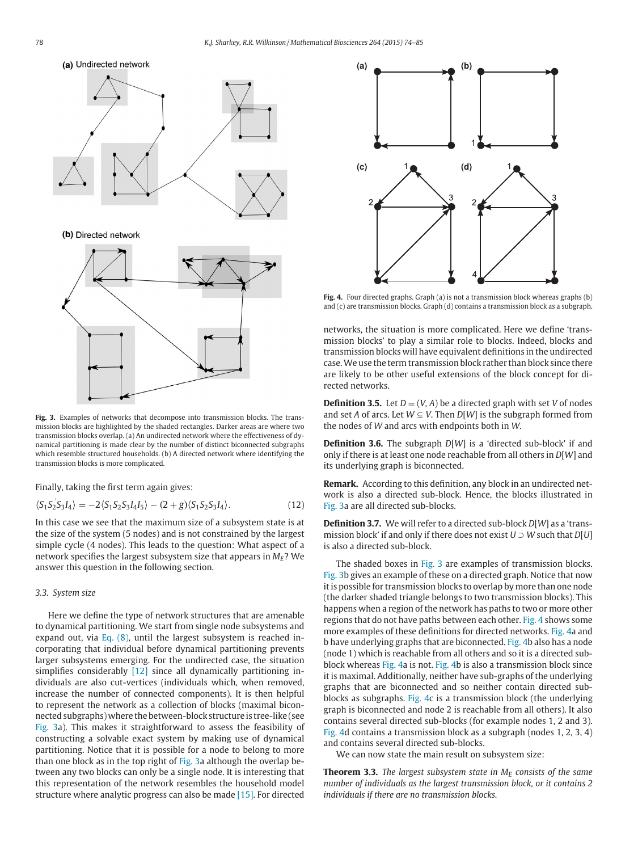<span id="page-5-0"></span>

**Fig. 3.** Examples of networks that decompose into transmission blocks. The transmission blocks are highlighted by the shaded rectangles. Darker areas are where two transmission blocks overlap. (a) An undirected network where the effectiveness of dynamical partitioning is made clear by the number of distinct biconnected subgraphs which resemble structured households. (b) A directed network where identifying the transmission blocks is more complicated.

Finally, taking the first term again gives:

$$
\langle S_1 S_2 S_3 I_4 \rangle = -2 \langle S_1 S_2 S_3 I_4 I_5 \rangle - (2+g) \langle S_1 S_2 S_3 I_4 \rangle. \tag{12}
$$

In this case we see that the maximum size of a subsystem state is at the size of the system (5 nodes) and is not constrained by the largest simple cycle (4 nodes). This leads to the question: What aspect of a network specifies the largest subsystem size that appears in  $M_F$ ? We answer this question in the following section.

#### *3.3. System size*

Here we define the type of network structures that are amenable to dynamical partitioning. We start from single node subsystems and expand out, via [Eq. \(8\),](#page-3-0) until the largest subsystem is reached incorporating that individual before dynamical partitioning prevents larger subsystems emerging. For the undirected case, the situation simplifies considerably [\[12\]](#page-12-0) since all dynamically partitioning individuals are also cut-vertices (individuals which, when removed, increase the number of connected components). It is then helpful to represent the network as a collection of blocks (maximal biconnected subgraphs) where the between-block structure is tree-like (see Fig. 3a). This makes it straightforward to assess the feasibility of constructing a solvable exact system by making use of dynamical partitioning. Notice that it is possible for a node to belong to more than one block as in the top right of Fig. 3a although the overlap between any two blocks can only be a single node. It is interesting that this representation of the network resembles the household model structure where analytic progress can also be made [\[15\].](#page-12-0) For directed



**Fig. 4.** Four directed graphs. Graph (a) is not a transmission block whereas graphs (b) and (c) are transmission blocks. Graph (d) contains a transmission block as a subgraph.

networks, the situation is more complicated. Here we define 'transmission blocks' to play a similar role to blocks. Indeed, blocks and transmission blocks will have equivalent definitions in the undirected case.We use the term transmission block rather than block since there are likely to be other useful extensions of the block concept for directed networks.

**Definition 3.5.** Let  $D = (V, A)$  be a directed graph with set *V* of nodes and set *A* of arcs. Let  $W \subseteq V$ . Then *D*[*W*] is the subgraph formed from the nodes of *W* and arcs with endpoints both in *W*.

**Definition 3.6.** The subgraph *D*[*W*] is a 'directed sub-block' if and only if there is at least one node reachable from all others in *D*[*W*] and its underlying graph is biconnected.

**Remark.** According to this definition, any block in an undirected network is also a directed sub-block. Hence, the blocks illustrated in Fig. 3a are all directed sub-blocks.

**Definition 3.7.** We will refer to a directed sub-block *D*[*W*] as a 'transmission block' if and only if there does not exist  $U \supset W$  such that  $D[U]$ is also a directed sub-block.

The shaded boxes in Fig. 3 are examples of transmission blocks. Fig. 3b gives an example of these on a directed graph. Notice that now it is possible for transmission blocks to overlap by more than one node (the darker shaded triangle belongs to two transmission blocks). This happens when a region of the network has paths to two or more other regions that do not have paths between each other. Fig. 4 shows some more examples of these definitions for directed networks. Fig. 4a and b have underlying graphs that are biconnected. Fig. 4b also has a node (node 1) which is reachable from all others and so it is a directed subblock whereas Fig. 4a is not. Fig. 4b is also a transmission block since it is maximal. Additionally, neither have sub-graphs of the underlying graphs that are biconnected and so neither contain directed subblocks as subgraphs. Fig. 4c is a transmission block (the underlying graph is biconnected and node 2 is reachable from all others). It also contains several directed sub-blocks (for example nodes 1, 2 and 3). Fig. 4d contains a transmission block as a subgraph (nodes 1, 2, 3, 4) and contains several directed sub-blocks.

We can now state the main result on subsystem size:

**Theorem 3.3.** *The largest subsystem state in M<sub>E</sub> consists of the same number of individuals as the largest transmission block, or it contains 2 individuals if there are no transmission blocks.*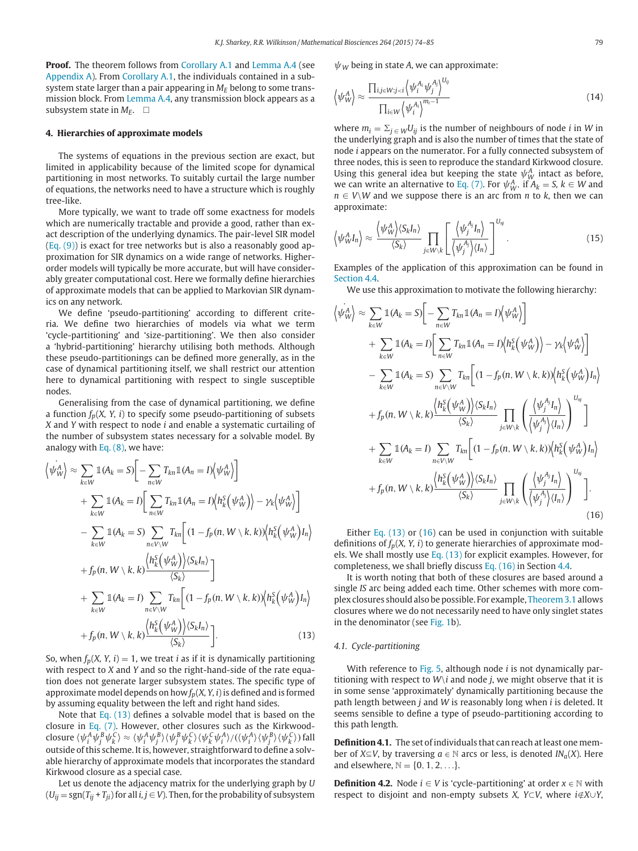<span id="page-6-0"></span>**Proof.** The theorem follows from [Corollary A.1](#page-11-0) and [Lemma A.4](#page-11-0) (see [Appendix A\)](#page-10-0). From [Corollary A.1,](#page-11-0) the individuals contained in a subsystem state larger than a pair appearing in  $M_F$  belong to some transmission block. From [Lemma A.4,](#page-11-0) any transmission block appears as a subsystem state in  $M_E.$   $\quad \Box$ 

#### **4. Hierarchies of approximate models**

The systems of equations in the previous section are exact, but limited in applicability because of the limited scope for dynamical partitioning in most networks. To suitably curtail the large number of equations, the networks need to have a structure which is roughly tree-like.

More typically, we want to trade off some exactness for models which are numerically tractable and provide a good, rather than exact description of the underlying dynamics. The pair-level SIR model [\(Eq. \(9\)\)](#page-4-0) is exact for tree networks but is also a reasonably good approximation for SIR dynamics on a wide range of networks. Higherorder models will typically be more accurate, but will have considerably greater computational cost. Here we formally define hierarchies of approximate models that can be applied to Markovian SIR dynamics on any network.

We define 'pseudo-partitioning' according to different criteria. We define two hierarchies of models via what we term 'cycle-partitioning' and 'size-partitioning'. We then also consider a 'hybrid-partitioning' hierarchy utilising both methods. Although these pseudo-partitionings can be defined more generally, as in the case of dynamical partitioning itself, we shall restrict our attention here to dynamical partitioning with respect to single susceptible nodes.

Generalising from the case of dynamical partitioning, we define a function  $f_p(X, Y, i)$  to specify some pseudo-partitioning of subsets *X* and *Y* with respect to node *i* and enable a systematic curtailing of the number of subsystem states necessary for a solvable model. By analogy with Eq.  $(8)$ , we have:

$$
\langle \psi_{W}^{A} \rangle \approx \sum_{k \in W} \mathbb{1}(A_{k} = S) \Big[ - \sum_{n \in W} T_{kn} \mathbb{1}(A_{n} = I) \Big\langle \psi_{W}^{A} \Big\rangle \Big] + \sum_{k \in W} \mathbb{1}(A_{k} = I) \Big[ \sum_{n \in W} T_{kn} \mathbb{1}(A_{n} = I) \Big\langle h_{k}^{S} (\psi_{W}^{A}) \Big\rangle - \gamma_{k} \Big\langle \psi_{W}^{A} \Big\rangle \Big] - \sum_{k \in W} \mathbb{1}(A_{k} = S) \sum_{n \in V \backslash W} T_{kn} \Big[ (1 - f_{p}(n, W \setminus k, k)) \Big\langle h_{k}^{S} (\psi_{W}^{A}) I_{n} \Big\rangle + f_{p}(n, W \setminus k, k) \frac{\Big\langle h_{k}^{S} (\psi_{W}^{A}) \Big\rangle \langle S_{k} I_{n} \rangle}{\langle S_{k} \rangle} \Big] + \sum_{k \in W} \mathbb{1}(A_{k} = I) \sum_{n \in V \backslash W} T_{kn} \Big[ (1 - f_{p}(n, W \setminus k, k)) \Big\langle h_{k}^{S} (\psi_{W}^{A}) I_{n} \Big\rangle + f_{p}(n, W \setminus k, k) \frac{\Big\langle h_{k}^{S} (\psi_{W}^{A}) \Big\rangle \langle S_{k} I_{n} \rangle}{\langle S_{k} \rangle} \Big].
$$
 (13)

So, when  $f_p(X, Y, i) = 1$ , we treat *i* as if it is dynamically partitioning with respect to *X* and *Y* and so the right-hand-side of the rate equation does not generate larger subsystem states. The specific type of approximate model depends on how *fp*(*X, Y, i*) is defined and is formed by assuming equality between the left and right hand sides.

Note that Eq. (13) defines a solvable model that is based on the closure in [Eq. \(7\).](#page-3-0) However, other closures such as the Kirkwoodclosure  $\langle \psi_i^A\psi_j^B\psi_k^C\rangle\approx \langle \psi_i^A\psi_j^B\rangle \langle \psi_j^B\psi_k^C\rangle \langle \psi_k^C\psi_i^A\rangle/(\langle \psi_i^A\rangle \langle \psi_j^B\rangle \langle \psi_k^C\rangle)$  fall outside of this scheme. It is, however, straightforward to define a solvable hierarchy of approximate models that incorporates the standard Kirkwood closure as a special case.

Let us denote the adjacency matrix for the underlying graph by *U*  $(U_{ij} = \text{sgn}(T_{ij} + T_{ji})$  for all  $i, j \in V$ ). Then, for the probability of subsystem

 $\psi_W$  being in state A, we can approximate:

$$
\left\langle \psi_{W}^{A} \right\rangle \approx \frac{\prod_{i,j \in W: j < i} \left\langle \psi_{i}^{A_{i}} \psi_{j}^{A_{j}} \right\rangle^{U_{ij}}}{\prod_{i \in W} \left\langle \psi_{i}^{A_{i}} \right\rangle^{m_{i}-1}}
$$
\n(14)

where  $m_i = \sum_{j \in W} U_{ij}$  is the number of neighbours of node *i* in *W* in the underlying graph and is also the number of times that the state of node *i* appears on the numerator. For a fully connected subsystem of three nodes, this is seen to reproduce the standard Kirkwood closure. Using this general idea but keeping the state  $\psi_W^A$  intact as before, we can write an alternative to [Eq. \(7\).](#page-3-0) For  $\psi_W^A$ , if  $A_k = S$ ,  $k \in W$  and  $n \in V \backslash W$  and we suppose there is an arc from *n* to *k*, then we can approximate:

$$
\left\langle \psi_{W}^{A} I_{n} \right\rangle \approx \frac{\left\langle \psi_{W}^{A} \right\rangle \left\langle S_{k} I_{n} \right\rangle}{\left\langle S_{k} \right\rangle} \prod_{j \in W \setminus k} \left[ \frac{\left\langle \psi_{j}^{A_{j}} I_{n} \right\rangle}{\left\langle \psi_{j}^{A_{j}} \right\rangle \left\langle I_{n} \right\rangle} \right]^{U_{nj}} . \tag{15}
$$

Examples of the application of this approximation can be found in [Section 4.4.](#page-10-0)

We use this approximation to motivate the following hierarchy:

$$
\langle \psi_{W}^{A} \rangle \approx \sum_{k \in W} \mathbb{1}(A_{k} = S) \Big[ - \sum_{n \in W} T_{kn} \mathbb{1}(A_{n} = I) \Big\langle \psi_{W}^{A} \Big\rangle \Big] + \sum_{k \in W} \mathbb{1}(A_{k} = I) \Big[ \sum_{n \in W} T_{kn} \mathbb{1}(A_{n} = I) \Big\langle h_{k}^{S} \Big(\psi_{W}^{A}\Big) \Big\rangle - \gamma_{k} \Big\langle \psi_{W}^{A} \Big\rangle \Big] - \sum_{k \in W} \mathbb{1}(A_{k} = S) \sum_{n \in V \backslash W} T_{kn} \Big[ (1 - f_{p}(n, W \setminus k, k)) \Big\langle h_{k}^{S} \Big(\psi_{W}^{A}\Big) I_{n} \Big\rangle + f_{p}(n, W \setminus k, k) \frac{\Big\langle h_{k}^{S} \Big(\psi_{W}^{A}\Big)\Big\langle S_{k} I_{n} \Big\rangle}{\langle S_{k} \rangle} \prod_{j \in W \setminus k} \Big( \frac{\Big\langle \psi_{j}^{A_{j}} I_{n} \Big\rangle}{\Big\langle \psi_{j}^{A_{j}} \Big\langle I_{n} \Big\rangle} \Big)^{U_{nj}} \Big] + \sum_{k \in W} \mathbb{1}(A_{k} = I) \sum_{n \in V \setminus W} T_{kn} \Big[ (1 - f_{p}(n, W \setminus k, k)) \Big\langle h_{k}^{S} \Big(\psi_{W}^{A}\Big) I_{n} \Big\rangle + f_{p}(n, W \setminus k, k) \frac{\Big\langle h_{k}^{S} \Big(\psi_{W}^{A}\Big)\Big\langle S_{k} I_{n} \Big\rangle}{\langle S_{k} \rangle} \prod_{j \in W \setminus k} \Big( \frac{\Big\langle \psi_{j}^{A_{j}} I_{n} \Big\rangle}{\Big\langle \psi_{j}^{A_{j}} \Big\langle I_{n} \Big\rangle} \Big)^{U_{nj}} \Big].
$$
\n(16)

Either Eq. (13) or (16) can be used in conjunction with suitable definitions of *fp*(*X, Y, i*) to generate hierarchies of approximate models. We shall mostly use Eq. (13) for explicit examples. However, for completeness, we shall briefly discuss Eq. (16) in Section [4.4.](#page-10-0)

It is worth noting that both of these closures are based around a single *IS* arc being added each time. Other schemes with more complex closures should also be possible. For example, [Theorem 3.1](#page-3-0) allows closures where we do not necessarily need to have only singlet states in the denominator (see [Fig. 1b](#page-3-0)).

#### *4.1. Cycle-partitioning*

With reference to [Fig. 5,](#page-7-0) although node *i* is not dynamically partitioning with respect to  $W\setminus i$  and node *j*, we might observe that it is in some sense 'approximately' dynamically partitioning because the path length between *j* and *W* is reasonably long when *i* is deleted. It seems sensible to define a type of pseudo-partitioning according to this path length.

**Definition 4.1.** The set of individuals that can reach at least one member of *X* $\subseteq$ *V*, by traversing *a*  $\in$  *N* arcs or less, is denoted *IN<sub>a</sub>*(*X*). Here and elsewhere,  $N = \{0, 1, 2, ...\}$ .

**Definition 4.2.** Node  $i \in V$  is 'cycle-partitioning' at order  $x \in \mathbb{N}$  with respect to disjoint and non-empty subsets *X*, *Y* $\subset$ *V*, where  $i \notin X \cup Y$ ,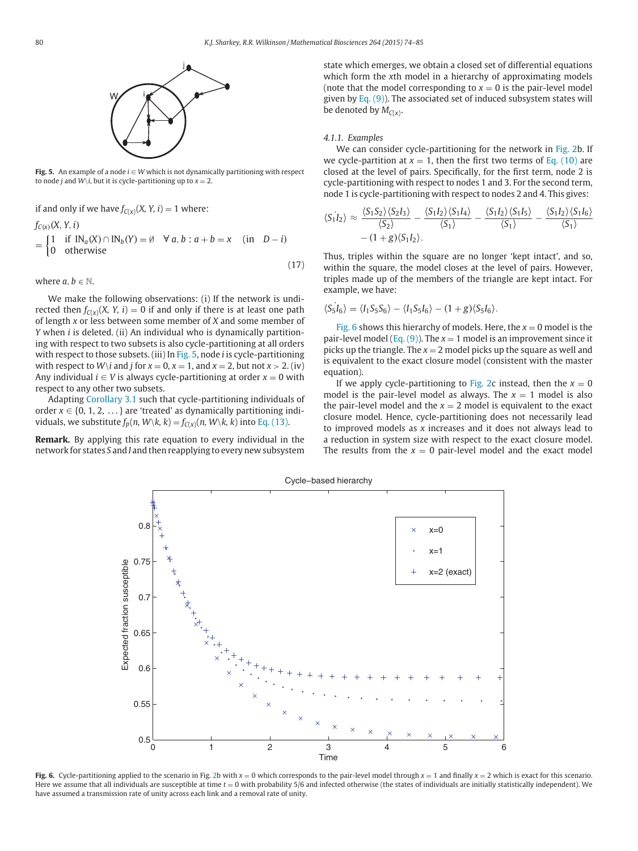(17)

<span id="page-7-0"></span>

**Fig. 5.** An example of a node  $i \in W$  which is not dynamically partitioning with respect to node *j* and *W* $\backslash i$ , but it is cycle-partitioning up to *x* = 2.

if and only if we have  $f_{C(x)}(X, Y, i) = 1$  where:

$$
f_{C(x)}(X, Y, i)
$$
  
= 
$$
\begin{cases} 1 & \text{if } IN_a(X) \cap IN_b(Y) = \emptyset \quad \forall a, b : a + b = x \quad (\text{in } D - i) \\ 0 & \text{otherwise} \end{cases}
$$

where  $a, b \in \mathbb{N}$ .

We make the following observations: (i) If the network is undirected then  $f_{\Gamma(x)}(X, Y, i) = 0$  if and only if there is at least one path of length *x* or less between some member of *X* and some member of *Y* when *i* is deleted. (ii) An individual who is dynamically partitioning with respect to two subsets is also cycle-partitioning at all orders with respect to those subsets. (iii) In Fig. 5, node *i* is cycle-partitioning with respect to  $W\setminus i$  and  $i$  for  $x = 0$ ,  $x = 1$ , and  $x = 2$ , but not  $x > 2$ . (iv) Any individual  $i \in V$  is always cycle-partitioning at order  $x = 0$  with respect to any other two subsets.

Adapting [Corollary 3.1](#page-3-0) such that cycle-partitioning individuals of order  $x \in \{0, 1, 2, \ldots\}$  are 'treated' as dynamically partitioning individuals, we substitute  $f_p(n, W \mid k, k) = f_{C(x)}(n, W \mid k, k)$  into [Eq. \(13\).](#page-6-0)

**Remark.** By applying this rate equation to every individual in the network for states *S* and *I* and then reapplying to every new subsystem



#### *4.1.1. Examples*

We can consider cycle-partitioning for the network in [Fig. 2b](#page-4-0). If we cycle-partition at  $x = 1$ , then the first two terms of [Eq. \(10\)](#page-4-0) are closed at the level of pairs. Specifically, for the first term, node 2 is cycle-partitioning with respect to nodes 1 and 3. For the second term, node 1 is cycle-partitioning with respect to nodes 2 and 4. This gives:

$$
\langle S_1 I_2 \rangle \approx \frac{\langle S_1 S_2 \rangle \langle S_2 I_3 \rangle}{\langle S_2 \rangle} - \frac{\langle S_1 I_2 \rangle \langle S_1 I_4 \rangle}{\langle S_1 \rangle} - \frac{\langle S_1 I_2 \rangle \langle S_1 I_5 \rangle}{\langle S_1 \rangle} - \frac{\langle S_1 I_2 \rangle \langle S_1 I_6 \rangle}{\langle S_1 \rangle}
$$

$$
- (1 + g) \langle S_1 I_2 \rangle.
$$

Thus, triples within the square are no longer 'kept intact', and so, within the square, the model closes at the level of pairs. However, triples made up of the members of the triangle are kept intact. For example, we have:

$$
\langle S_5I_6\rangle = \langle I_1S_5S_6\rangle - \langle I_1S_5I_6\rangle - (1+g)\langle S_5I_6\rangle.
$$

Fig. 6 shows this hierarchy of models. Here, the  $x = 0$  model is the pair-level model (Eq.  $(9)$ ). The  $x = 1$  model is an improvement since it picks up the triangle. The  $x = 2$  model picks up the square as well and is equivalent to the exact closure model (consistent with the master equation).

If we apply cycle-partitioning to [Fig. 2c](#page-4-0) instead, then the  $x = 0$ model is the pair-level model as always. The  $x = 1$  model is also the pair-level model and the  $x = 2$  model is equivalent to the exact closure model. Hence, cycle-partitioning does not necessarily lead to improved models as *x* increases and it does not always lead to a reduction in system size with respect to the exact closure model. The results from the  $x = 0$  pair-level model and the exact model



**Fig. 6.** Cycle-partitioning applied to the scenario in Fig. [2b](#page-4-0) with  $x = 0$  which corresponds to the pair-level model through  $x = 1$  and finally  $x = 2$  which is exact for this scenario. Here we assume that all individuals are susceptible at time  $t = 0$  with probability 5/6 and infected otherwise (the states of individuals are initially statistically independent). We have assumed a transmission rate of unity across each link and a removal rate of unity.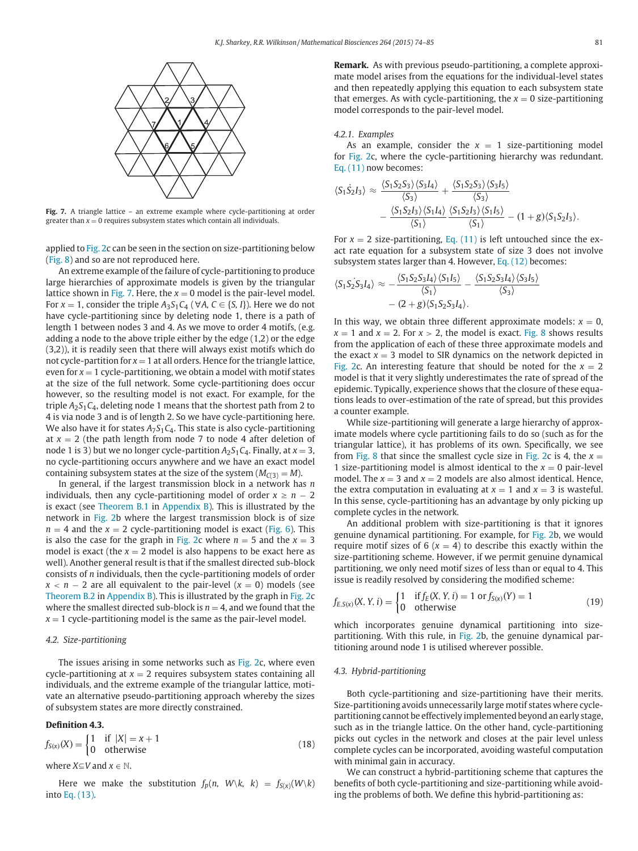

**Fig. 7.** A triangle lattice – an extreme example where cycle-partitioning at order greater than  $x = 0$  requires subsystem states which contain all individuals.

applied to [Fig. 2c](#page-4-0) can be seen in the section on size-partitioning below [\(Fig. 8\)](#page-9-0) and so are not reproduced here.

An extreme example of the failure of cycle-partitioning to produce large hierarchies of approximate models is given by the triangular lattice shown in Fig. 7. Here, the  $x = 0$  model is the pair-level model. For  $x = 1$ , consider the triple  $A_3S_1C_4$  ( $\forall A, C \in \{S, I\}$ ). Here we do not have cycle-partitioning since by deleting node 1, there is a path of length 1 between nodes 3 and 4. As we move to order 4 motifs, (e.g. adding a node to the above triple either by the edge (1,2) or the edge (3,2)), it is readily seen that there will always exist motifs which do not cycle-partition for  $x = 1$  at all orders. Hence for the triangle lattice, even for  $x = 1$  cycle-partitioning, we obtain a model with motif states at the size of the full network. Some cycle-partitioning does occur however, so the resulting model is not exact. For example, for the triple  $A_2S_1C_4$ , deleting node 1 means that the shortest path from 2 to 4 is via node 3 and is of length 2. So we have cycle-partitioning here. We also have it for states *A*7*S*1*C*4. This state is also cycle-partitioning at  $x = 2$  (the path length from node 7 to node 4 after deletion of node 1 is 3) but we no longer cycle-partition  $A_2S_1C_4$ . Finally, at  $x = 3$ , no cycle-partitioning occurs anywhere and we have an exact model containing subsystem states at the size of the system  $(M<sub>C(3)</sub> = M)$ .

In general, if the largest transmission block in a network has *n* individuals, then any cycle-partitioning model of order  $x \ge n - 2$ is exact (see [Theorem B.1](#page-12-0) in [Appendix B\)](#page-12-0). This is illustrated by the network in [Fig. 2b](#page-4-0) where the largest transmission block is of size  $n = 4$  and the  $x = 2$  cycle-partitioning model is exact [\(Fig. 6\)](#page-7-0). This is also the case for the graph in [Fig. 2c](#page-4-0) where  $n = 5$  and the  $x = 3$ model is exact (the  $x = 2$  model is also happens to be exact here as well). Another general result is that if the smallest directed sub-block consists of *n* individuals, then the cycle-partitioning models of order  $x < n - 2$  are all equivalent to the pair-level ( $x = 0$ ) models (see [Theorem B.2](#page-12-0) in [Appendix B\)](#page-12-0). This is illustrated by the graph in [Fig. 2c](#page-4-0) where the smallest directed sub-block is  $n = 4$ , and we found that the  $x = 1$  cycle-partitioning model is the same as the pair-level model.

#### *4.2. Size-partitioning*

The issues arising in some networks such as [Fig. 2c](#page-4-0), where even cycle-partitioning at  $x = 2$  requires subsystem states containing all individuals, and the extreme example of the triangular lattice, motivate an alternative pseudo-partitioning approach whereby the sizes of subsystem states are more directly constrained.

#### **Definition 4.3.**

 $f_{S(x)}(X) = \begin{cases} 1 & \text{if } |X| = x + 1 \\ 0 & \text{otherwise} \end{cases}$  (18)

where  $X \subseteq V$  and  $x \in \mathbb{N}$ .

Here we make the substitution  $f_p(n, W \mid k, k) = f_{S(x)}(W \mid k)$ into [Eq. \(13\).](#page-6-0)

**Remark.** As with previous pseudo-partitioning, a complete approximate model arises from the equations for the individual-level states and then repeatedly applying this equation to each subsystem state that emerges. As with cycle-partitioning, the  $x = 0$  size-partitioning model corresponds to the pair-level model.

#### *4.2.1. Examples*

As an example, consider the  $x = 1$  size-partitioning model for [Fig. 2c](#page-4-0), where the cycle-partitioning hierarchy was redundant. [Eq. \(11\)](#page-4-0) now becomes:

$$
\langle S_1 \dot{S}_2 I_3 \rangle \approx \frac{\langle S_1 S_2 S_3 \rangle \langle S_3 I_4 \rangle}{\langle S_3 \rangle} + \frac{\langle S_1 S_2 S_3 \rangle \langle S_3 I_5 \rangle}{\langle S_3 \rangle} - \frac{\langle S_1 S_2 I_3 \rangle \langle S_1 I_4 \rangle}{\langle S_1 \rangle} \frac{\langle S_1 S_2 I_3 \rangle \langle S_1 I_5 \rangle}{\langle S_1 \rangle} - (1+g) \langle S_1 S_2 I_3 \rangle.
$$

For  $x = 2$  size-partitioning, [Eq. \(11\)](#page-4-0) is left untouched since the exact rate equation for a subsystem state of size 3 does not involve subsystem states larger than 4. However, [Eq. \(12\)](#page-5-0) becomes:

$$
\langle S_1 S_2 S_3 I_4 \rangle \approx -\frac{\langle S_1 S_2 S_3 I_4 \rangle \langle S_1 I_5 \rangle}{\langle S_1 \rangle} - \frac{\langle S_1 S_2 S_3 I_4 \rangle \langle S_3 I_5 \rangle}{\langle S_3 \rangle}
$$

$$
- (2+g)\langle S_1 S_2 S_3 I_4 \rangle.
$$

In this way, we obtain three different approximate models:  $x = 0$ ,  $x = 1$  and  $x = 2$ . For  $x > 2$ , the model is exact. [Fig. 8](#page-9-0) shows results from the application of each of these three approximate models and the exact  $x = 3$  model to SIR dynamics on the network depicted in [Fig. 2c](#page-4-0). An interesting feature that should be noted for the  $x = 2$ model is that it very slightly underestimates the rate of spread of the epidemic. Typically, experience shows that the closure of these equations leads to over-estimation of the rate of spread, but this provides a counter example.

While size-partitioning will generate a large hierarchy of approximate models where cycle partitioning fails to do so (such as for the triangular lattice), it has problems of its own. Specifically, we see from [Fig. 8](#page-9-0) that since the smallest cycle size in [Fig. 2c](#page-4-0) is 4, the  $x =$ 1 size-partitioning model is almost identical to the  $x = 0$  pair-level model. The  $x = 3$  and  $x = 2$  models are also almost identical. Hence, the extra computation in evaluating at  $x = 1$  and  $x = 3$  is wasteful. In this sense, cycle-partitioning has an advantage by only picking up complete cycles in the network.

An additional problem with size-partitioning is that it ignores genuine dynamical partitioning. For example, for [Fig. 2b](#page-4-0), we would require motif sizes of 6 ( $x = 4$ ) to describe this exactly within the size-partitioning scheme. However, if we permit genuine dynamical partitioning, we only need motif sizes of less than or equal to 4. This issue is readily resolved by considering the modified scheme:

$$
f_{E,S(x)}(X, Y, i) = \begin{cases} 1 & \text{if } f_E(X, Y, i) = 1 \text{ or } f_{S(x)}(Y) = 1\\ 0 & \text{otherwise} \end{cases}
$$
(19)

which incorporates genuine dynamical partitioning into sizepartitioning. With this rule, in [Fig. 2b](#page-4-0), the genuine dynamical partitioning around node 1 is utilised wherever possible.

#### *4.3. Hybrid-partitioning*

Both cycle-partitioning and size-partitioning have their merits. Size-partitioning avoids unnecessarily large motif states where cyclepartitioning cannot be effectively implemented beyond an early stage, such as in the triangle lattice. On the other hand, cycle-partitioning picks out cycles in the network and closes at the pair level unless complete cycles can be incorporated, avoiding wasteful computation with minimal gain in accuracy.

We can construct a hybrid-partitioning scheme that captures the benefits of both cycle-partitioning and size-partitioning while avoiding the problems of both. We define this hybrid-partitioning as: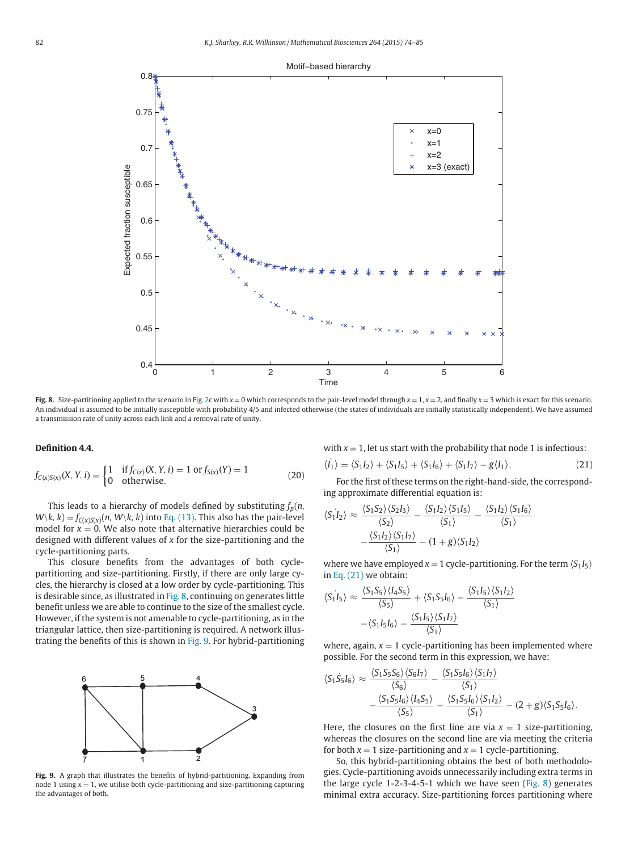<span id="page-9-0"></span>

**Fig. 8.** Size-partitioning applied to the scenario in Fig. [2c](#page-4-0) with  $x = 0$  which corresponds to the pair-level model through  $x = 1$ ,  $x = 2$ , and finally  $x = 3$  which is exact for this scenario. An individual is assumed to be initially susceptible with probability 4/5 and infected otherwise (the states of individuals are initially statistically independent). We have assumed a transmission rate of unity across each link and a removal rate of unity.

#### **Definition 4.4.**

$$
f_{C(x)S(x)}(X, Y, i) = \begin{cases} 1 & \text{if } f_{C(x)}(X, Y, i) = 1 \text{ or } f_{S(x)}(Y) = 1\\ 0 & \text{otherwise.} \end{cases}
$$
 (20)

This leads to a hierarchy of models defined by substituting  $f_p(n, \theta)$  $W \setminus k$ ,  $k$ ) =  $f_{C(X)S(X)}(n, W \setminus k, k)$  into [Eq. \(13\).](#page-6-0) This also has the pair-level model for  $x = 0$ . We also note that alternative hierarchies could be designed with different values of *x* for the size-partitioning and the cycle-partitioning parts.

This closure benefits from the advantages of both cyclepartitioning and size-partitioning. Firstly, if there are only large cycles, the hierarchy is closed at a low order by cycle-partitioning. This is desirable since, as illustrated in Fig. 8, continuing on generates little benefit unless we are able to continue to the size of the smallest cycle. However, if the system is not amenable to cycle-partitioning, as in the triangular lattice, then size-partitioning is required. A network illustrating the benefits of this is shown in Fig. 9. For hybrid-partitioning



**Fig. 9.** A graph that illustrates the benefits of hybrid-partitioning. Expanding from node 1 using  $x = 1$ , we utilise both cycle-partitioning and size-partitioning capturing the advantages of both.

with  $x = 1$ , let us start with the probability that node 1 is infectious:

$$
\langle I_1 \rangle = \langle S_1 I_2 \rangle + \langle S_1 I_5 \rangle + \langle S_1 I_6 \rangle + \langle S_1 I_7 \rangle - g \langle I_1 \rangle. \tag{21}
$$

For the first of these terms on the right-hand-side, the corresponding approximate differential equation is:

$$
\langle S_1 I_2 \rangle \approx \frac{\langle S_1 S_2 \rangle \langle S_2 I_3 \rangle}{\langle S_2 \rangle} - \frac{\langle S_1 I_2 \rangle \langle S_1 I_5 \rangle}{\langle S_1 \rangle} - \frac{\langle S_1 I_2 \rangle \langle S_1 I_6 \rangle}{\langle S_1 \rangle}
$$

$$
- \frac{\langle S_1 I_2 \rangle \langle S_1 I_7 \rangle}{\langle S_1 \rangle} - (1 + g) \langle S_1 I_2 \rangle
$$

where we have employed  $x = 1$  cycle-partitioning. For the term  $\langle S_1 I_5 \rangle$ in Eq. (21) we obtain:

$$
\langle S_1 I_5 \rangle \approx \frac{\langle S_1 S_5 \rangle \langle I_4 S_5 \rangle}{\langle S_5 \rangle} + \langle S_1 S_5 I_6 \rangle - \frac{\langle S_1 I_5 \rangle \langle S_1 I_2 \rangle}{\langle S_1 \rangle}
$$

$$
-\langle S_1 I_5 I_6 \rangle - \frac{\langle S_1 I_5 \rangle \langle S_1 I_7 \rangle}{\langle S_1 \rangle}
$$

where, again,  $x = 1$  cycle-partitioning has been implemented where possible. For the second term in this expression, we have:

$$
\langle S_1 \dot{S}_5 I_6 \rangle \approx \frac{\langle S_1 S_5 S_6 \rangle \langle S_6 I_7 \rangle}{\langle S_6 \rangle} - \frac{\langle S_1 S_5 I_6 \rangle \langle S_1 I_7 \rangle}{\langle S_1 \rangle} - \frac{\langle S_1 S_5 I_6 \rangle \langle I_4 S_5 \rangle}{\langle S_5 \rangle} - \frac{\langle S_1 S_5 I_6 \rangle \langle S_1 I_2 \rangle}{\langle S_1 \rangle} - (2 + g) \langle S_1 S_5 I_6 \rangle.
$$

Here, the closures on the first line are via  $x = 1$  size-partitioning, whereas the closures on the second line are via meeting the criteria for both  $x = 1$  size-partitioning and  $x = 1$  cycle-partitioning.

So, this hybrid-partitioning obtains the best of both methodologies. Cycle-partitioning avoids unnecessarily including extra terms in the large cycle 1-2-3-4-5-1 which we have seen (Fig. 8) generates minimal extra accuracy. Size-partitioning forces partitioning where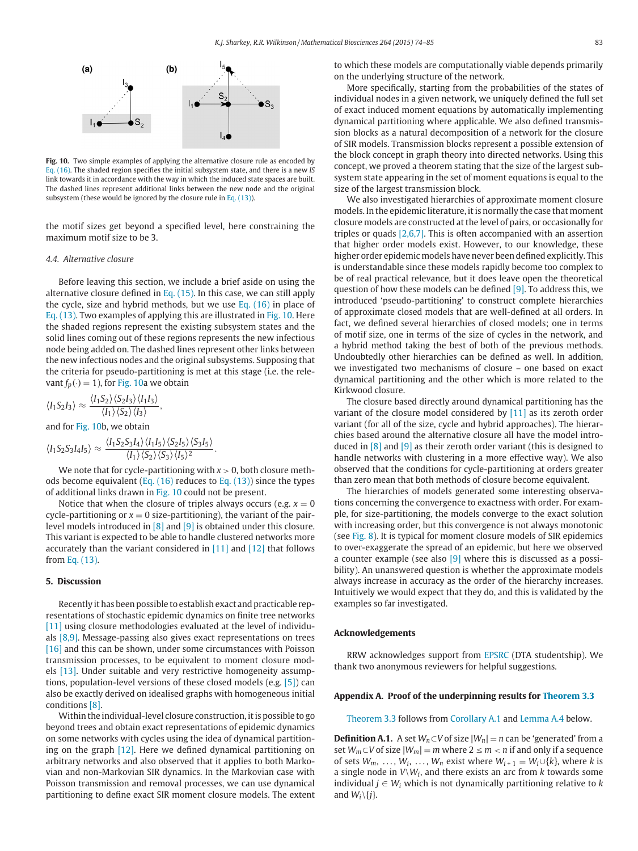<span id="page-10-0"></span>

Fig. 10. Two simple examples of applying the alternative closure rule as encoded by [Eq. \(16\).](#page-6-0) The shaded region specifies the initial subsystem state, and there is a new *IS* link towards it in accordance with the way in which the induced state spaces are built. The dashed lines represent additional links between the new node and the original subsystem (these would be ignored by the closure rule in [Eq. \(13\)\)](#page-6-0).

the motif sizes get beyond a specified level, here constraining the maximum motif size to be 3.

#### *4.4. Alternative closure*

Before leaving this section, we include a brief aside on using the alternative closure defined in Eq.  $(15)$ . In this case, we can still apply the cycle, size and hybrid methods, but we use [Eq. \(16\)](#page-6-0) in place of [Eq. \(13\).](#page-6-0) Two examples of applying this are illustrated in Fig. 10. Here the shaded regions represent the existing subsystem states and the solid lines coming out of these regions represents the new infectious node being added on. The dashed lines represent other links between the new infectious nodes and the original subsystems. Supposing that the criteria for pseudo-partitioning is met at this stage (i.e. the relevant  $f_p(.) = 1$ ), for Fig. 10a we obtain

$$
\langle I_1 S_2 I_3 \rangle \approx \frac{\langle I_1 S_2 \rangle \langle S_2 I_3 \rangle \langle I_1 I_3 \rangle}{\langle I_1 \rangle \langle S_2 \rangle \langle I_3 \rangle},
$$

and for Fig. 10b, we obtain

$$
\langle I_1 S_2 S_3 I_4 I_5 \rangle \approx \frac{\langle I_1 S_2 S_3 I_4 \rangle \langle I_1 I_5 \rangle \langle S_2 I_5 \rangle \langle S_3 I_5 \rangle}{\langle I_1 \rangle \langle S_2 \rangle \langle S_3 \rangle \langle I_5 \rangle^2}.
$$

We note that for cycle-partitioning with  $x > 0$ , both closure methods become equivalent (Eq.  $(16)$  reduces to Eq.  $(13)$ ) since the types of additional links drawn in Fig. 10 could not be present.

Notice that when the closure of triples always occurs (e.g.  $x = 0$ cycle-partitioning or  $x = 0$  size-partitioning), the variant of the pairlevel models introduced in [\[8\]](#page-12-0) and [\[9\]](#page-12-0) is obtained under this closure. This variant is expected to be able to handle clustered networks more accurately than the variant considered in [\[11\]](#page-12-0) and [\[12\]](#page-12-0) that follows from [Eq. \(13\).](#page-6-0)

#### **5. Discussion**

Recently it has been possible to establish exact and practicable representations of stochastic epidemic dynamics on finite tree networks [\[11\]](#page-12-0) using closure methodologies evaluated at the level of individuals [\[8,9\].](#page-12-0) Message-passing also gives exact representations on trees [\[16\]](#page-12-0) and this can be shown, under some circumstances with Poisson transmission processes, to be equivalent to moment closure models [\[13\].](#page-12-0) Under suitable and very restrictive homogeneity assumptions, population-level versions of these closed models (e.g. [\[5\]\)](#page-12-0) can also be exactly derived on idealised graphs with homogeneous initial conditions [\[8\].](#page-12-0)

Within the individual-level closure construction, it is possible to go beyond trees and obtain exact representations of epidemic dynamics on some networks with cycles using the idea of dynamical partitioning on the graph [\[12\].](#page-12-0) Here we defined dynamical partitioning on arbitrary networks and also observed that it applies to both Markovian and non-Markovian SIR dynamics. In the Markovian case with Poisson transmission and removal processes, we can use dynamical partitioning to define exact SIR moment closure models. The extent to which these models are computationally viable depends primarily on the underlying structure of the network.

More specifically, starting from the probabilities of the states of individual nodes in a given network, we uniquely defined the full set of exact induced moment equations by automatically implementing dynamical partitioning where applicable. We also defined transmission blocks as a natural decomposition of a network for the closure of SIR models. Transmission blocks represent a possible extension of the block concept in graph theory into directed networks. Using this concept, we proved a theorem stating that the size of the largest subsystem state appearing in the set of moment equations is equal to the size of the largest transmission block.

We also investigated hierarchies of approximate moment closure models. In the epidemic literature, it is normally the case that moment closure models are constructed at the level of pairs, or occasionally for triples or quads [\[2,6,7\].](#page-12-0) This is often accompanied with an assertion that higher order models exist. However, to our knowledge, these higher order epidemic models have never been defined explicitly. This is understandable since these models rapidly become too complex to be of real practical relevance, but it does leave open the theoretical question of how these models can be defined [\[9\].](#page-12-0) To address this, we introduced 'pseudo-partitioning' to construct complete hierarchies of approximate closed models that are well-defined at all orders. In fact, we defined several hierarchies of closed models; one in terms of motif size, one in terms of the size of cycles in the network, and a hybrid method taking the best of both of the previous methods. Undoubtedly other hierarchies can be defined as well. In addition, we investigated two mechanisms of closure – one based on exact dynamical partitioning and the other which is more related to the Kirkwood closure.

The closure based directly around dynamical partitioning has the variant of the closure model considered by [\[11\]](#page-12-0) as its zeroth order variant (for all of the size, cycle and hybrid approaches). The hierarchies based around the alternative closure all have the model introduced in [\[8\]](#page-12-0) and [\[9\]](#page-12-0) as their zeroth order variant (this is designed to handle networks with clustering in a more effective way). We also observed that the conditions for cycle-partitioning at orders greater than zero mean that both methods of closure become equivalent.

The hierarchies of models generated some interesting observations concerning the convergence to exactness with order. For example, for size-partitioning, the models converge to the exact solution with increasing order, but this convergence is not always monotonic (see [Fig. 8\)](#page-9-0). It is typical for moment closure models of SIR epidemics to over-exaggerate the spread of an epidemic, but here we observed a counter example (see also [\[9\]](#page-12-0) where this is discussed as a possibility). An unanswered question is whether the approximate models always increase in accuracy as the order of the hierarchy increases. Intuitively we would expect that they do, and this is validated by the examples so far investigated.

#### **Acknowledgements**

RRW acknowledges support from [EPSRC](http://dx.doi.org/10.13039/501100000266) (DTA studentship). We thank two anonymous reviewers for helpful suggestions.

# **Appendix A. Proof of the underpinning results for [Theorem 3.3](#page-5-0)**

[Theorem 3.3](#page-5-0) follows from [Corollary A.1](#page-11-0) and [Lemma A.4](#page-11-0) below.

**Definition A.1.** A set  $W_n \subset V$  of size  $|W_n| = n$  can be 'generated' from a set  $W_m \subset V$  of size  $|W_m| = m$  where  $2 \le m < n$  if and only if a sequence of sets  $W_m$ , ...,  $W_i$ , ...,  $W_n$  exist where  $W_{i+1} = W_i \cup \{k\}$ , where *k* is a single node in *VWi*, and there exists an arc from *k* towards some individual  $j \in W_i$  which is not dynamically partitioning relative to *k* and  $W_i \setminus \{j\}$ .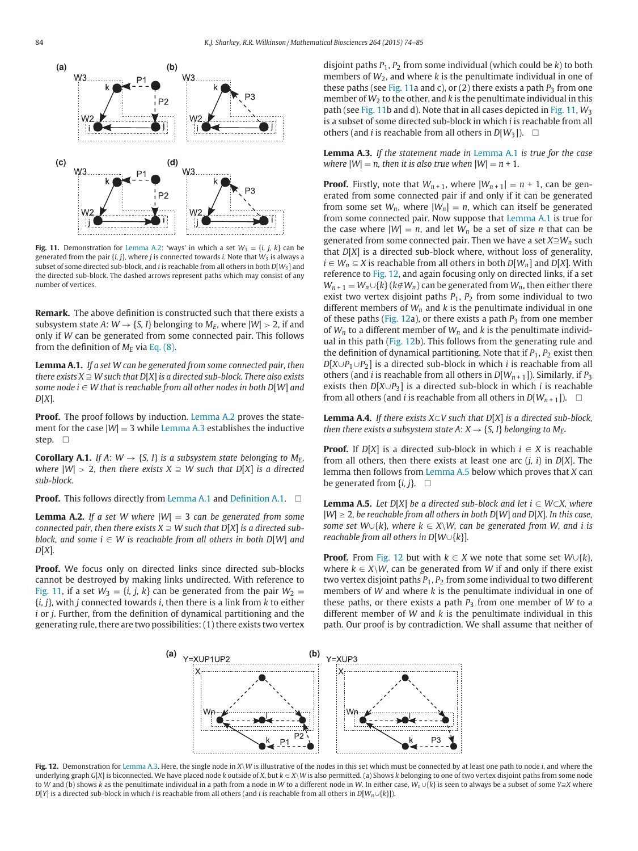<span id="page-11-0"></span>

**Fig. 11.** Demonstration for Lemma A.2: 'ways' in which a set  $W_3 = \{i, j, k\}$  can be generated from the pair {*i, j*}, where *j* is connected towards *i*. Note that  $W_3$  is always a subset of some directed sub-block, and *i* is reachable from all others in both *D*[*W*3] and the directed sub-block. The dashed arrows represent paths which may consist of any number of vertices.

**Remark.** The above definition is constructed such that there exists a subsystem state *A*:  $W \rightarrow \{S, I\}$  belonging to  $M_E$ , where  $|W| > 2$ , if and only if *W* can be generated from some connected pair. This follows from the definition of  $M_F$  via [Eq. \(8\).](#page-3-0)

**Lemma A.1.** *If a set W can be generated from some connected pair, then there exists*  $X \supseteq W$  *such that D[X] is a directed sub-block. There also exists*  $s$ ome node  $i \in W$  that is reachable from all other nodes in both D[W] and *D*[*X*]*.*

**Proof.** The proof follows by induction. Lemma A.2 proves the statement for the case  $|W| = 3$  while Lemma A.3 establishes the inductive step.  $\Box$ 

**Corollary A.1.** *If A*:  $W \rightarrow \{S, I\}$  *is a subsystem state belonging to*  $M_E$ , *where*  $|W| > 2$ , *then there exists*  $X \supseteq W$  *such that*  $D[X]$  *is a directed sub-block.*

**Proof.** This follows directly from Lemma A.1 and [Definition A.1.](#page-10-0)  $\Box$ 

**Lemma A.2.** *If a set W where*  $|W| = 3$  *can be generated from some connected pair, then there exists*  $X \supseteq W$  *such that D[X] is a directed subblock, and some i*  $\in$  *W* is reachable from all others in both D[W] and *D*[*X*]*.*

**Proof.** We focus only on directed links since directed sub-blocks cannot be destroyed by making links undirected. With reference to Fig. 11, if a set  $W_3 = \{i, j, k\}$  can be generated from the pair  $W_2 =$ {*i, j*}, with *j* connected towards *i*, then there is a link from *k* to either *i* or *j*. Further, from the definition of dynamical partitioning and the generating rule, there are two possibilities: (1) there exists two vertex disjoint paths  $P_1$ ,  $P_2$  from some individual (which could be  $k$ ) to both members of  $W_2$ , and where  $k$  is the penultimate individual in one of these paths (see Fig. 11a and c), or  $(2)$  there exists a path  $P_3$  from one member of  $W_2$  to the other, and  $k$  is the penultimate individual in this path (see Fig. 11b and d). Note that in all cases depicted in Fig. 11, *W*<sup>3</sup> is a subset of some directed sub-block in which *i* is reachable from all others (and *i* is reachable from all others in  $D[W_3]$ ).  $\Box$ 

**Lemma A.3.** *If the statement made in* Lemma A.1 *is true for the case where*  $|W| = n$ , then it is also true when  $|W| = n + 1$ .

**Proof.** Firstly, note that  $W_{n+1}$ , where  $|W_{n+1}| = n + 1$ , can be generated from some connected pair if and only if it can be generated from some set  $W_n$ , where  $|W_n| = n$ , which can itself be generated from some connected pair. Now suppose that Lemma A.1 is true for the case where  $|W| = n$ , and let  $W_n$  be a set of size *n* that can be generated from some connected pair. Then we have a set  $X \supseteq W_n$  such that *D*[*X*] is a directed sub-block where, without loss of generality,  $i \in W_n \subseteq X$  is reachable from all others in both  $D[W_n]$  and  $D[X]$ . With reference to Fig. 12, and again focusing only on directed links, if a set  $W_{n+1} = W_n \cup \{k\}$  ( $k \notin W_n$ ) can be generated from  $W_n$ , then either there exist two vertex disjoint paths  $P_1$ ,  $P_2$  from some individual to two different members of  $W_n$  and  $k$  is the penultimate individual in one of these paths (Fig. 12a), or there exists a path  $P_3$  from one member of  $W_n$  to a different member of  $W_n$  and *k* is the penultimate individual in this path (Fig. 12b). This follows from the generating rule and the definition of dynamical partitioning. Note that if  $P_1$ ,  $P_2$  exist then  $D[X \cup P_1 \cup P_2]$  is a directed sub-block in which *i* is reachable from all others (and *i* is reachable from all others in  $D[W_{n+1}]$ ). Similarly, if  $P_3$ exists then  $D[X \cup P_3]$  is a directed sub-block in which *i* is reachable from all others (and *i* is reachable from all others in  $D[W_{n+1}]$ ).  $\square$ 

**Lemma A.4.** *If there exists XV such that D*[*X*] *is a directed sub-block, then there exists a subsystem state A:*  $X \rightarrow \{S, I\}$  *belonging to*  $M_E$ *.* 

**Proof.** If  $D[X]$  is a directed sub-block in which  $i \in X$  is reachable from all others, then there exists at least one arc (*j, i*) in *D*[*X*]. The lemma then follows from Lemma A.5 below which proves that *X* can be generated from  $\{i, j\}$ .  $\Box$ 

**Lemma A.5.** Let  $D[X]$  be a directed sub-block and let  $i \in W \subset X$ , where |*W*| 2*, be reachable from all others in both D*[*W*] *and D*[*X*]*. In this case, some set W* $\cup$ {*k*}*, where k*  $\in$  *X* $\setminus$ *W, can be generated from W, and i is reachable from all others in D[* $W \cup \{k\}$ *].* 

**Proof.** From Fig. 12 but with  $k \in X$  we note that some set  $W \cup \{k\}$ , where  $k \in X \backslash W$ , can be generated from W if and only if there exist two vertex disjoint paths *P*1, *P*<sup>2</sup> from some individual to two different members of *W* and where *k* is the penultimate individual in one of these paths, or there exists a path  $P_3$  from one member of *W* to a different member of *W* and *k* is the penultimate individual in this path. Our proof is by contradiction. We shall assume that neither of



**Fig. 12.** Demonstration for Lemma A.3. Here, the single node in *XW* is illustrative of the nodes in this set which must be connected by at least one path to node *i*, and where the underlying graph G[X] is biconnected. We have placed node k outside of X, but  $k \in X \setminus W$  is also permitted. (a) Shows k belonging to one of two vertex disjoint paths from some node to W and (b) shows k as the penultimate individual in a path from a node in W to a different node in W. In either case,  $W_n \cup \{k\}$  is seen to always be a subset of some Y=X where *D*[*Y*] is a directed sub-block in which *i* is reachable from all others (and *i* is reachable from all others in *D*[*W<sub>n</sub>* $\cup$ {*k*}]).